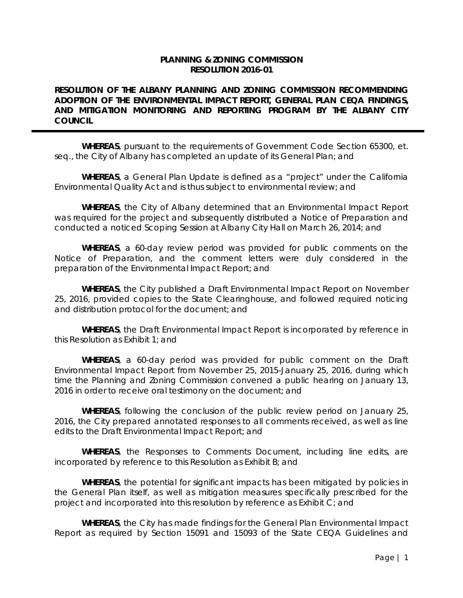#### **PLANNING & ZONING COMMISSION RESOLUTION 2016-01**

#### **RESOLUTION OF THE ALBANY PLANNING AND ZONING COMMISSION RECOMMENDING ADOPTION OF THE ENVIRONMENTAL IMPACT REPORT, GENERAL PLAN CEQA FINDINGS, AND MITIGATION MONITORING AND REPORTING PROGRAM BY THE ALBANY CITY COUNCIL**

**WHEREAS**, pursuant to the requirements of Government Code Section 65300, et. seq., the City of Albany has completed an update of its General Plan; and

**WHEREAS**, a General Plan Update is defined as a "project" under the California Environmental Quality Act and is thus subject to environmental review; and

**WHEREAS**, the City of Albany determined that an Environmental Impact Report was required for the project and subsequently distributed a Notice of Preparation and conducted a noticed Scoping Session at Albany City Hall on March 26, 2014; and

**WHEREAS**, a 60-day review period was provided for public comments on the Notice of Preparation, and the comment letters were duly considered in the preparation of the Environmental Impact Report; and

**WHEREAS**, the City published a Draft Environmental Impact Report on November 25, 2016, provided copies to the State Clearinghouse, and followed required noticing and distribution protocol for the document; and

**WHEREAS**, the Draft Environmental Impact Report is incorporated by reference in this Resolution as Exhibit 1; and

**WHEREAS**, a 60-day period was provided for public comment on the Draft Environmental Impact Report from November 25, 2015-January 25, 2016, during which time the Planning and Zoning Commission convened a public hearing on January 13, 2016 in order to receive oral testimony on the document; and

**WHEREAS**, following the conclusion of the public review period on January 25, 2016, the City prepared annotated responses to all comments received, as well as line edits to the Draft Environmental Impact Report; and

**WHEREAS**, the Responses to Comments Document, including line edits, are incorporated by reference to this Resolution as Exhibit B; and

**WHEREAS**, the potential for significant impacts has been mitigated by policies in the General Plan itself, as well as mitigation measures specifically prescribed for the project and incorporated into this resolution by reference as Exhibit C; and

**WHEREAS**, the City has made findings for the General Plan Environmental Impact Report as required by Section 15091 and 15093 of the State CEQA Guidelines and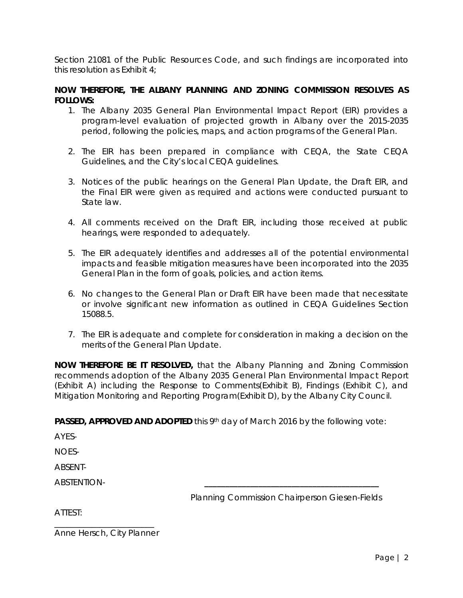Section 21081 of the Public Resources Code, and such findings are incorporated into this resolution as Exhibit 4;

### **NOW THEREFORE, THE ALBANY PLANNING AND ZONING COMMISSION RESOLVES AS FOLLOWS:**

- 1. The Albany 2035 General Plan Environmental Impact Report (EIR) provides a program-level evaluation of projected growth in Albany over the 2015-2035 period, following the policies, maps, and action programs of the General Plan.
- 2. The EIR has been prepared in compliance with CEQA, the State CEQA Guidelines, and the City's local CEQA guidelines.
- 3. Notices of the public hearings on the General Plan Update, the Draft EIR, and the Final EIR were given as required and actions were conducted pursuant to State law.
- 4. All comments received on the Draft EIR, including those received at public hearings, were responded to adequately.
- 5. The EIR adequately identifies and addresses all of the potential environmental impacts and feasible mitigation measures have been incorporated into the 2035 General Plan in the form of goals, policies, and action items.
- 6. No changes to the General Plan or Draft EIR have been made that necessitate or involve significant new information as outlined in CEQA Guidelines Section 15088.5.
- 7. The EIR is adequate and complete for consideration in making a decision on the merits of the General Plan Update.

**NOW THEREFORE BE IT RESOLVED,** that the Albany Planning and Zoning Commission recommends adoption of the Albany 2035 General Plan Environmental Impact Report (Exhibit A) including the Response to Comments(Exhibit B), Findings (Exhibit C), and Mitigation Monitoring and Reporting Program(Exhibit D), by the Albany City Council.

**PASSED, APPROVED AND ADOPTED** this 9th day of March 2016 by the following vote:

AYES-

NOES-

ABSENT-

ABSTENTION- **\_\_\_\_\_\_\_\_\_\_\_\_\_\_\_\_\_\_\_\_\_\_\_\_\_\_\_\_\_\_\_\_\_\_\_\_\_\_\_\_\_\_** 

Planning Commission Chairperson Giesen-Fields

| ۰. |  |
|----|--|
|    |  |

\_\_\_\_\_\_\_\_\_\_\_\_\_\_\_\_\_\_\_\_\_\_\_\_ Anne Hersch, City Planner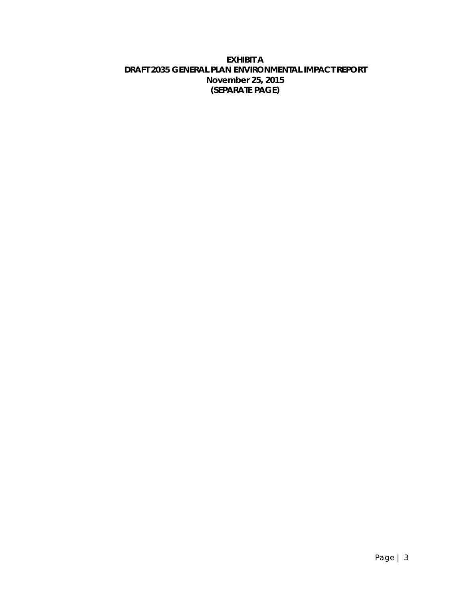# **EXHIBIT A DRAFT 2035 GENERAL PLAN ENVIRONMENTAL IMPACT REPORT November 25, 2015 (SEPARATE PAGE)**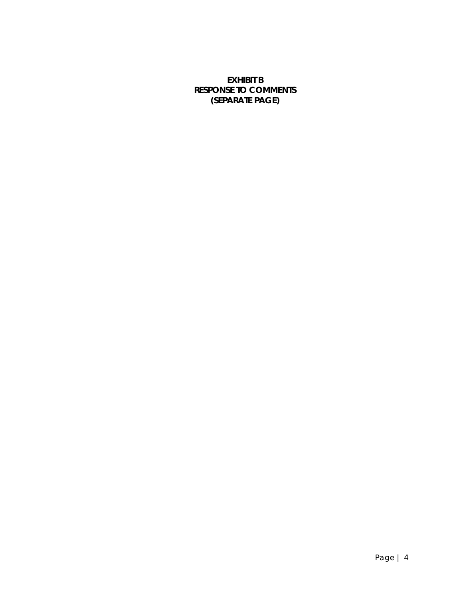## **EXHIBIT B RESPONSE TO COMMENTS (SEPARATE PAGE)**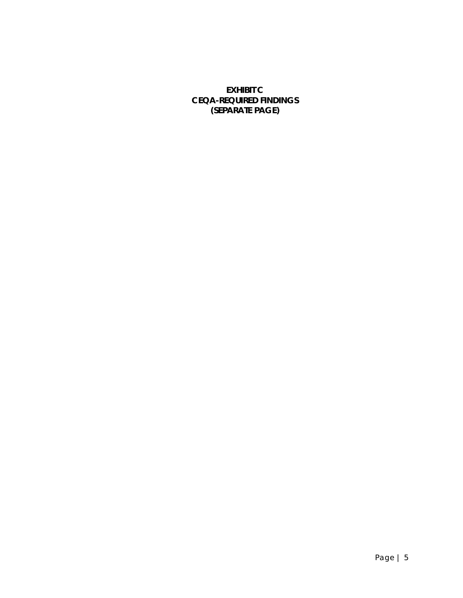# **EXHIBIT C CEQA-REQUIRED FINDINGS (SEPARATE PAGE)**